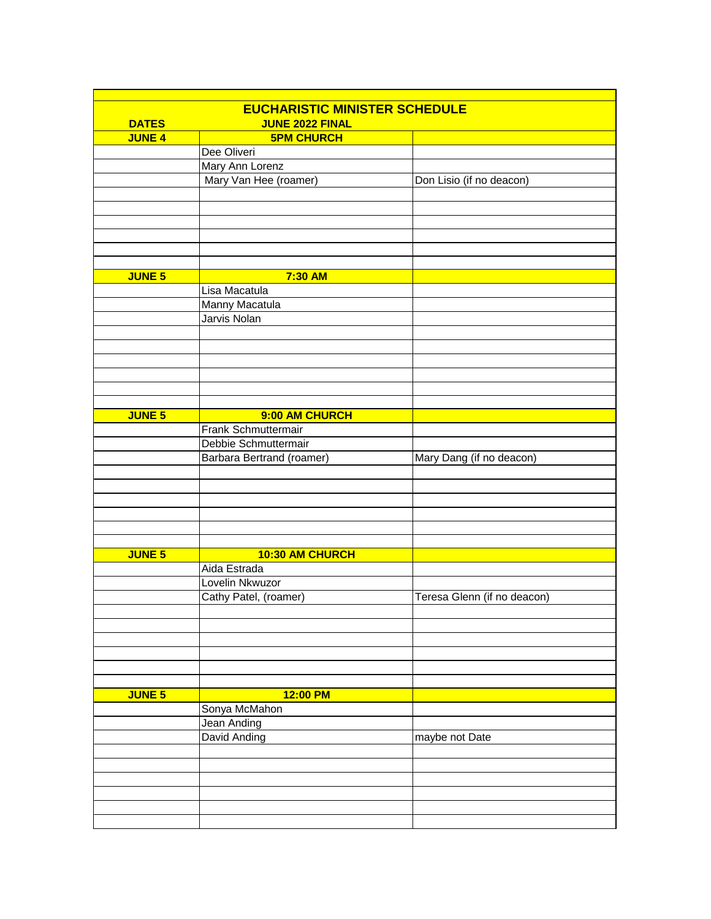|               | <b>EUCHARISTIC MINISTER SCHEDULE</b> |                             |  |  |  |
|---------------|--------------------------------------|-----------------------------|--|--|--|
| <b>DATES</b>  | <b>JUNE 2022 FINAL</b>               |                             |  |  |  |
| <b>JUNE 4</b> | <b>5PM CHURCH</b>                    |                             |  |  |  |
|               | Dee Oliveri                          |                             |  |  |  |
|               | Mary Ann Lorenz                      |                             |  |  |  |
|               | Mary Van Hee (roamer)                | Don Lisio (if no deacon)    |  |  |  |
|               |                                      |                             |  |  |  |
|               |                                      |                             |  |  |  |
|               |                                      |                             |  |  |  |
|               |                                      |                             |  |  |  |
|               |                                      |                             |  |  |  |
|               |                                      |                             |  |  |  |
| <b>JUNE 5</b> | 7:30 AM                              |                             |  |  |  |
|               | Lisa Macatula                        |                             |  |  |  |
|               |                                      |                             |  |  |  |
|               | Manny Macatula                       |                             |  |  |  |
|               | Jarvis Nolan                         |                             |  |  |  |
|               |                                      |                             |  |  |  |
|               |                                      |                             |  |  |  |
|               |                                      |                             |  |  |  |
|               |                                      |                             |  |  |  |
|               |                                      |                             |  |  |  |
|               |                                      |                             |  |  |  |
| <b>JUNE 5</b> | 9:00 AM CHURCH                       |                             |  |  |  |
|               | Frank Schmuttermair                  |                             |  |  |  |
|               | Debbie Schmuttermair                 |                             |  |  |  |
|               | Barbara Bertrand (roamer)            | Mary Dang (if no deacon)    |  |  |  |
|               |                                      |                             |  |  |  |
|               |                                      |                             |  |  |  |
|               |                                      |                             |  |  |  |
|               |                                      |                             |  |  |  |
|               |                                      |                             |  |  |  |
|               |                                      |                             |  |  |  |
|               |                                      |                             |  |  |  |
| <b>JUNE 5</b> | 10:30 AM CHURCH                      |                             |  |  |  |
|               | Aida Estrada                         |                             |  |  |  |
|               | Lovelin Nkwuzor                      |                             |  |  |  |
|               | Cathy Patel, (roamer)                | Teresa Glenn (if no deacon) |  |  |  |
|               |                                      |                             |  |  |  |
|               |                                      |                             |  |  |  |
|               |                                      |                             |  |  |  |
|               |                                      |                             |  |  |  |
|               |                                      |                             |  |  |  |
|               |                                      |                             |  |  |  |
| <b>JUNE 5</b> | 12:00 PM                             |                             |  |  |  |
|               | Sonya McMahon                        |                             |  |  |  |
|               | Jean Anding                          |                             |  |  |  |
|               | David Anding                         | maybe not Date              |  |  |  |
|               |                                      |                             |  |  |  |
|               |                                      |                             |  |  |  |
|               |                                      |                             |  |  |  |
|               |                                      |                             |  |  |  |
|               |                                      |                             |  |  |  |
|               |                                      |                             |  |  |  |
|               |                                      |                             |  |  |  |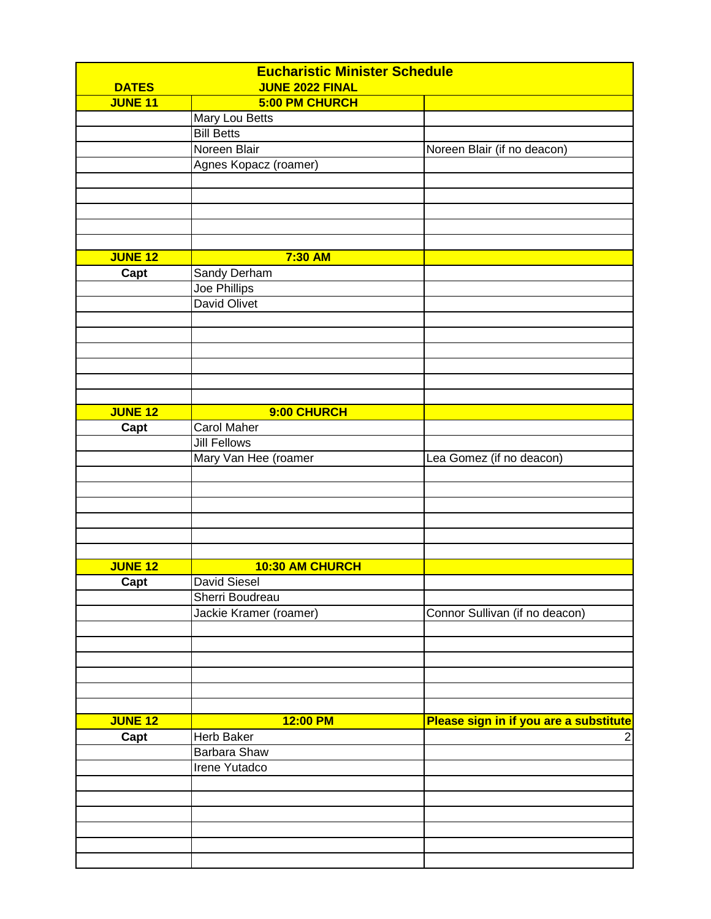| <b>DATES</b>   | <b>Eucharistic Minister Schedule</b><br><b>JUNE 2022 FINAL</b> |                                        |  |
|----------------|----------------------------------------------------------------|----------------------------------------|--|
| <b>JUNE 11</b> | 5:00 PM CHURCH                                                 |                                        |  |
|                | Mary Lou Betts                                                 |                                        |  |
|                | <b>Bill Betts</b>                                              |                                        |  |
|                | Noreen Blair                                                   | Noreen Blair (if no deacon)            |  |
|                | Agnes Kopacz (roamer)                                          |                                        |  |
|                |                                                                |                                        |  |
|                |                                                                |                                        |  |
|                |                                                                |                                        |  |
|                |                                                                |                                        |  |
|                |                                                                |                                        |  |
|                |                                                                |                                        |  |
| <b>JUNE 12</b> | 7:30 AM                                                        |                                        |  |
| Capt           | Sandy Derham                                                   |                                        |  |
|                | Joe Phillips                                                   |                                        |  |
|                | <b>David Olivet</b>                                            |                                        |  |
|                |                                                                |                                        |  |
|                |                                                                |                                        |  |
|                |                                                                |                                        |  |
|                |                                                                |                                        |  |
|                |                                                                |                                        |  |
|                |                                                                |                                        |  |
| <b>JUNE 12</b> | 9:00 CHURCH                                                    |                                        |  |
|                | Carol Maher                                                    |                                        |  |
| Capt           | <b>Jill Fellows</b>                                            |                                        |  |
|                |                                                                |                                        |  |
|                | Mary Van Hee (roamer                                           | Lea Gomez (if no deacon)               |  |
|                |                                                                |                                        |  |
|                |                                                                |                                        |  |
|                |                                                                |                                        |  |
|                |                                                                |                                        |  |
|                |                                                                |                                        |  |
|                |                                                                |                                        |  |
| <b>JUNE 12</b> | 10:30 AM CHURCH                                                |                                        |  |
| Capt           | <b>David Siesel</b>                                            |                                        |  |
|                | Sherri Boudreau                                                |                                        |  |
|                | Jackie Kramer (roamer)                                         | Connor Sullivan (if no deacon)         |  |
|                |                                                                |                                        |  |
|                |                                                                |                                        |  |
|                |                                                                |                                        |  |
|                |                                                                |                                        |  |
|                |                                                                |                                        |  |
|                |                                                                |                                        |  |
|                |                                                                |                                        |  |
| <b>JUNE 12</b> | 12:00 PM                                                       | Please sign in if you are a substitute |  |
| Capt           | Herb Baker                                                     | $\overline{c}$                         |  |
|                | Barbara Shaw                                                   |                                        |  |
|                | Irene Yutadco                                                  |                                        |  |
|                |                                                                |                                        |  |
|                |                                                                |                                        |  |
|                |                                                                |                                        |  |
|                |                                                                |                                        |  |
|                |                                                                |                                        |  |
|                |                                                                |                                        |  |
|                |                                                                |                                        |  |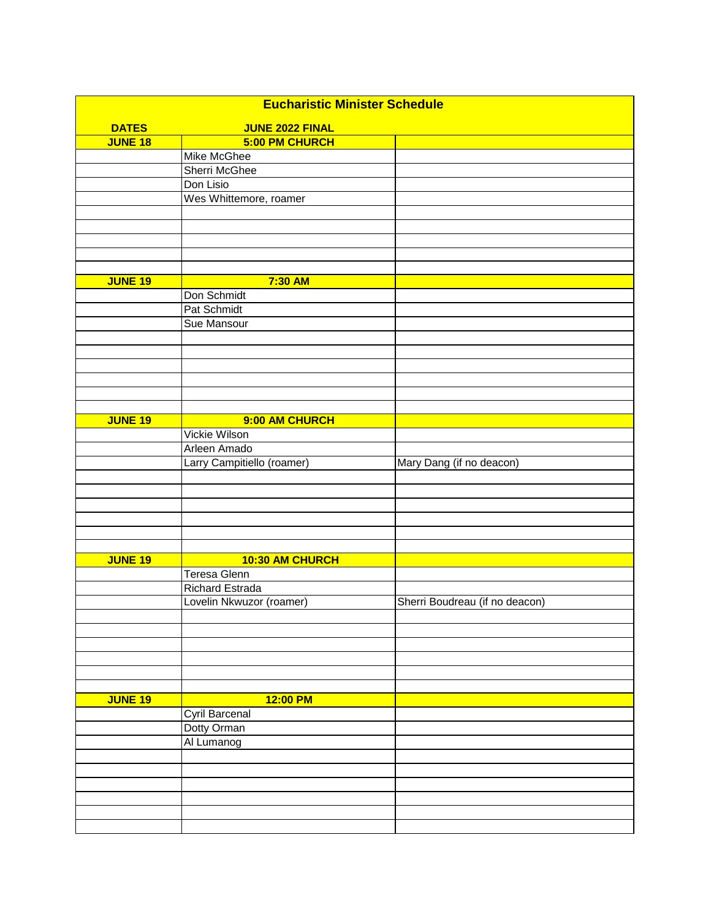| <b>Eucharistic Minister Schedule</b> |                            |                                |  |  |
|--------------------------------------|----------------------------|--------------------------------|--|--|
| <b>DATES</b>                         | <b>JUNE 2022 FINAL</b>     |                                |  |  |
| <b>JUNE 18</b>                       | 5:00 PM CHURCH             |                                |  |  |
|                                      | Mike McGhee                |                                |  |  |
|                                      | Sherri McGhee              |                                |  |  |
|                                      | Don Lisio                  |                                |  |  |
|                                      | Wes Whittemore, roamer     |                                |  |  |
|                                      |                            |                                |  |  |
|                                      |                            |                                |  |  |
|                                      |                            |                                |  |  |
|                                      |                            |                                |  |  |
|                                      |                            |                                |  |  |
| <b>JUNE 19</b>                       | 7:30 AM                    |                                |  |  |
|                                      | Don Schmidt                |                                |  |  |
|                                      | Pat Schmidt                |                                |  |  |
|                                      | Sue Mansour                |                                |  |  |
|                                      |                            |                                |  |  |
|                                      |                            |                                |  |  |
|                                      |                            |                                |  |  |
|                                      |                            |                                |  |  |
|                                      |                            |                                |  |  |
|                                      |                            |                                |  |  |
| <b>JUNE 19</b>                       | 9:00 AM CHURCH             |                                |  |  |
|                                      | Vickie Wilson              |                                |  |  |
|                                      | Arleen Amado               |                                |  |  |
|                                      | Larry Campitiello (roamer) | Mary Dang (if no deacon)       |  |  |
|                                      |                            |                                |  |  |
|                                      |                            |                                |  |  |
|                                      |                            |                                |  |  |
|                                      |                            |                                |  |  |
|                                      |                            |                                |  |  |
|                                      |                            |                                |  |  |
| <b>JUNE 19</b>                       | 10:30 AM CHURCH            |                                |  |  |
|                                      | Teresa Glenn               |                                |  |  |
|                                      | Richard Estrada            |                                |  |  |
|                                      | Lovelin Nkwuzor (roamer)   | Sherri Boudreau (if no deacon) |  |  |
|                                      |                            |                                |  |  |
|                                      |                            |                                |  |  |
|                                      |                            |                                |  |  |
|                                      |                            |                                |  |  |
|                                      |                            |                                |  |  |
|                                      |                            |                                |  |  |
| <b>JUNE 19</b>                       | 12:00 PM                   |                                |  |  |
|                                      | Cyril Barcenal             |                                |  |  |
|                                      | Dotty Orman                |                                |  |  |
|                                      | Al Lumanog                 |                                |  |  |
|                                      |                            |                                |  |  |
|                                      |                            |                                |  |  |
|                                      |                            |                                |  |  |
|                                      |                            |                                |  |  |
|                                      |                            |                                |  |  |
|                                      |                            |                                |  |  |